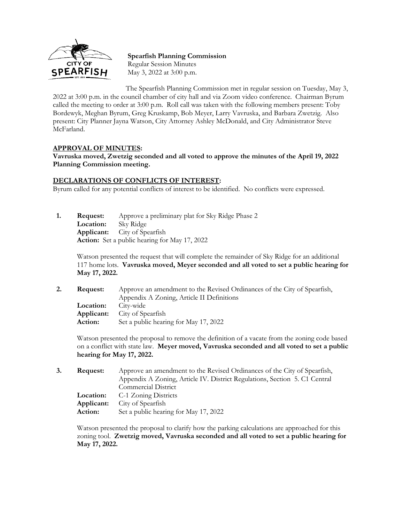

**Spearfish Planning Commission** Regular Session Minutes May 3, 2022 at 3:00 p.m.

The Spearfish Planning Commission met in regular session on Tuesday, May 3, 2022 at 3:00 p.m. in the council chamber of city hall and via Zoom video conference. Chairman Byrum called the meeting to order at 3:00 p.m. Roll call was taken with the following members present: Toby Bordewyk, Meghan Byrum, Greg Kruskamp, Bob Meyer, Larry Vavruska, and Barbara Zwetzig. Also present: City Planner Jayna Watson, City Attorney Ashley McDonald, and City Administrator Steve McFarland.

## **APPROVAL OF MINUTES:**

**Vavruska moved, Zwetzig seconded and all voted to approve the minutes of the April 19, 2022 Planning Commission meeting.**

## **DECLARATIONS OF CONFLICTS OF INTEREST:**

Byrum called for any potential conflicts of interest to be identified. No conflicts were expressed.

**1. Request:** Approve a preliminary plat for Sky Ridge Phase 2 **Location:** Sky Ridge **Applicant:** City of Spearfish **Action:** Set a public hearing for May 17, 2022

> Watson presented the request that will complete the remainder of Sky Ridge for an additional 117 home lots. **Vavruska moved, Meyer seconded and all voted to set a public hearing for May 17, 2022.**

**2. Request:** Approve an amendment to the Revised Ordinances of the City of Spearfish, Appendix A Zoning, Article II Definitions **Location:** City-wide **Applicant:** City of Spearfish **Action:** Set a public hearing for May 17, 2022

Watson presented the proposal to remove the definition of a vacate from the zoning code based on a conflict with state law. **Meyer moved, Vavruska seconded and all voted to set a public hearing for May 17, 2022.**

| 3. | Request:   | Approve an amendment to the Revised Ordinances of the City of Spearfish,   |  |
|----|------------|----------------------------------------------------------------------------|--|
|    |            | Appendix A Zoning, Article IV. District Regulations, Section 5. C1 Central |  |
|    |            | Commercial District                                                        |  |
|    |            | <b>Location:</b> C-1 Zoning Districts                                      |  |
|    | Applicant: | City of Spearfish                                                          |  |
|    | Action:    | Set a public hearing for May 17, 2022                                      |  |

Watson presented the proposal to clarify how the parking calculations are approached for this zoning tool. **Zwetzig moved, Vavruska seconded and all voted to set a public hearing for May 17, 2022.**